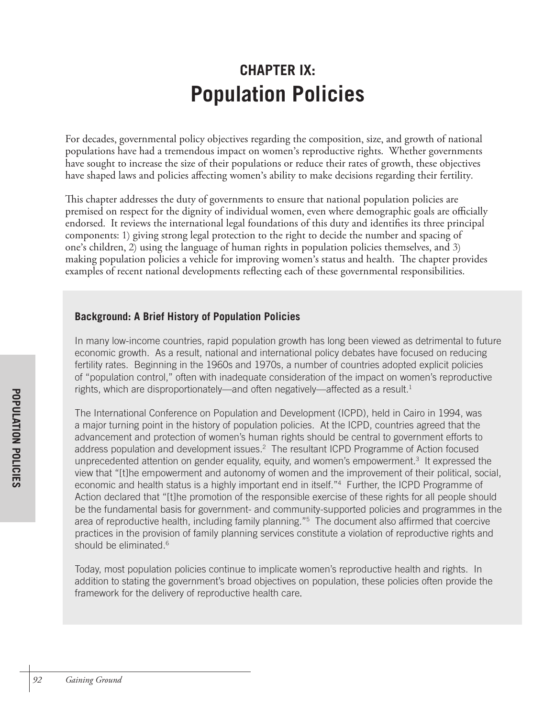# **CHAPTER IX: Population Policies**

For decades, governmental policy objectives regarding the composition, size, and growth of national populations have had a tremendous impact on women's reproductive rights. Whether governments have sought to increase the size of their populations or reduce their rates of growth, these objectives have shaped laws and policies affecting women's ability to make decisions regarding their fertility.

This chapter addresses the duty of governments to ensure that national population policies are premised on respect for the dignity of individual women, even where demographic goals are officially endorsed. It reviews the international legal foundations of this duty and identifies its three principal components: 1) giving strong legal protection to the right to decide the number and spacing of one's children, 2) using the language of human rights in population policies themselves, and 3) making population policies a vehicle for improving women's status and health. The chapter provides examples of recent national developments reflecting each of these governmental responsibilities.

#### **Background: A Brief History of Population Policies**

In many low-income countries, rapid population growth has long been viewed as detrimental to future economic growth. As a result, national and international policy debates have focused on reducing fertility rates. Beginning in the 1960s and 1970s, a number of countries adopted explicit policies of "population control," often with inadequate consideration of the impact on women's reproductive rights, which are disproportionately—and often negatively—affected as a result.<sup>1</sup>

The International Conference on Population and Development (ICPD), held in Cairo in 1994, was a major turning point in the history of population policies. At the ICPD, countries agreed that the advancement and protection of women's human rights should be central to government efforts to address population and development issues.<sup>2</sup> The resultant ICPD Programme of Action focused unprecedented attention on gender equality, equity, and women's empowerment.<sup>3</sup> It expressed the view that "[t]he empowerment and autonomy of women and the improvement of their political, social, economic and health status is a highly important end in itself."<sup>4</sup> Further, the ICPD Programme of Action declared that "[t]he promotion of the responsible exercise of these rights for all people should be the fundamental basis for government- and community-supported policies and programmes in the area of reproductive health, including family planning."5 The document also affirmed that coercive practices in the provision of family planning services constitute a violation of reproductive rights and should be eliminated. 6

Today, most population policies continue to implicate women's reproductive health and rights. In addition to stating the government's broad objectives on population, these policies often provide the framework for the delivery of reproductive health care.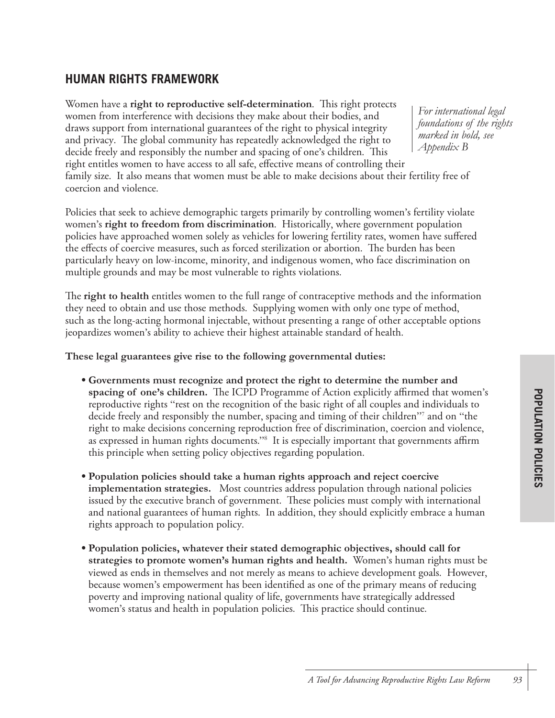### **HUMAN RIGHTS FRAMEWORK**

Women have a **right to reproductive self-determination**. This right protects women from interference with decisions they make about their bodies, and draws support from international guarantees of the right to physical integrity and privacy. The global community has repeatedly acknowledged the right to decide freely and responsibly the number and spacing of one's children. This right entitles women to have access to all safe, effective means of controlling their family size. It also means that women must be able to make decisions about their fertility free of coercion and violence.

Policies that seek to achieve demographic targets primarily by controlling women's fertility violate women's **right to freedom from discrimination**. Historically, where government population policies have approached women solely as vehicles for lowering fertility rates, women have suffered the effects of coercive measures, such as forced sterilization or abortion. The burden has been particularly heavy on low-income, minority, and indigenous women, who face discrimination on multiple grounds and may be most vulnerable to rights violations.

The **right to health** entitles women to the full range of contraceptive methods and the information they need to obtain and use those methods. Supplying women with only one type of method, such as the long-acting hormonal injectable, without presenting a range of other acceptable options jeopardizes women's ability to achieve their highest attainable standard of health.

**These legal guarantees give rise to the following governmental duties:**

- **Governments must recognize and protect the right to determine the number and spacing of one's children.** The ICPD Programme of Action explicitly affirmed that women's reproductive rights "rest on the recognition of the basic right of all couples and individuals to decide freely and responsibly the number, spacing and timing of their children<sup>"7</sup> and on "the right to make decisions concerning reproduction free of discrimination, coercion and violence, as expressed in human rights documents.'' $^{\rm 8}$  It is especially important that governments affirm this principle when setting policy objectives regarding population.
- **Population policies should take a human rights approach and reject coercive implementation strategies.** Most countries address population through national policies issued by the executive branch of government. These policies must comply with international and national guarantees of human rights. In addition, they should explicitly embrace a human rights approach to population policy.
- **Population policies, whatever their stated demographic objectives, should call for strategies to promote women's human rights and health.** Women's human rights must be viewed as ends in themselves and not merely as means to achieve development goals. However, because women's empowerment has been identified as one of the primary means of reducing poverty and improving national quality of life, governments have strategically addressed women's status and health in population policies. This practice should continue.

*For international legal foundations of the rights marked in bold, see Appendix B*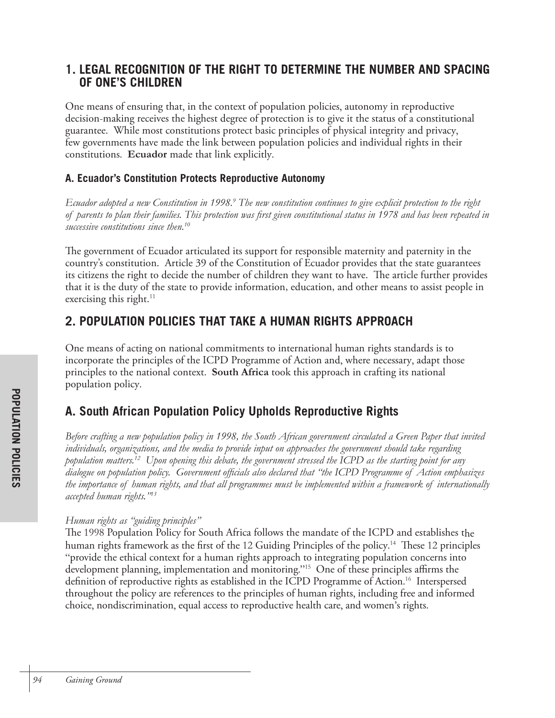### **1. LEGAL RECOGNITION OF THE RIGHT TO DETERMINE THE NUMBER AND SPACING OF ONE'S CHILDREN**

One means of ensuring that, in the context of population policies, autonomy in reproductive decision-making receives the highest degree of protection is to give it the status of a constitutional guarantee. While most constitutions protect basic principles of physical integrity and privacy, few governments have made the link between population policies and individual rights in their constitutions. **Ecuador** made that link explicitly.

#### **A. Ecuador's Constitution Protects Reproductive Autonomy**

Ecuador adopted a new Constitution in 1998.<sup>9</sup> The new constitution continues to give explicit protection to the right *of parents to plan their families. This protection was first given constitutional status in 1978 and has been repeated in successive constitutions since then.10*

The government of Ecuador articulated its support for responsible maternity and paternity in the country's constitution. Article 39 of the Constitution of Ecuador provides that the state guarantees its citizens the right to decide the number of children they want to have. The article further provides that it is the duty of the state to provide information, education, and other means to assist people in exercising this right. $11$ 

## **2. POPULATION POLICIES THAT TAKE A HUMAN RIGHTS APPROACH**

One means of acting on national commitments to international human rights standards is to incorporate the principles of the ICPD Programme of Action and, where necessary, adapt those principles to the national context. **South Africa** took this approach in crafting its national population policy.

# **A. South African Population Policy Upholds Reproductive Rights**

*Before crafting a new population policy in 1998, the South African government circulated a Green Paper that invited individuals, organizations, and the media to provide input on approaches the government should take regarding population matters.12 Upon opening this debate, the government stressed the ICPD as the starting point for any dialogue on population policy. Government officials also declared that "the ICPD Programme of Action emphasizes the importance of human rights, and that all programmes must be implemented within a framework of internationally accepted human rights."13*

#### *Human rights as "guiding principles"*

The 1998 Population Policy for South Africa follows the mandate of the ICPD and establishes the human rights framework as the first of the 12 Guiding Principles of the policy.<sup>14</sup> These 12 principles "provide the ethical context for a human rights approach to integrating population concerns into development planning, implementation and monitoring."15 One of these principles affirms the definition of reproductive rights as established in the ICPD Programme of Action. 16 Interspersed throughout the policy are references to the principles of human rights, including free and informed choice, nondiscrimination, equal access to reproductive health care, and women's rights.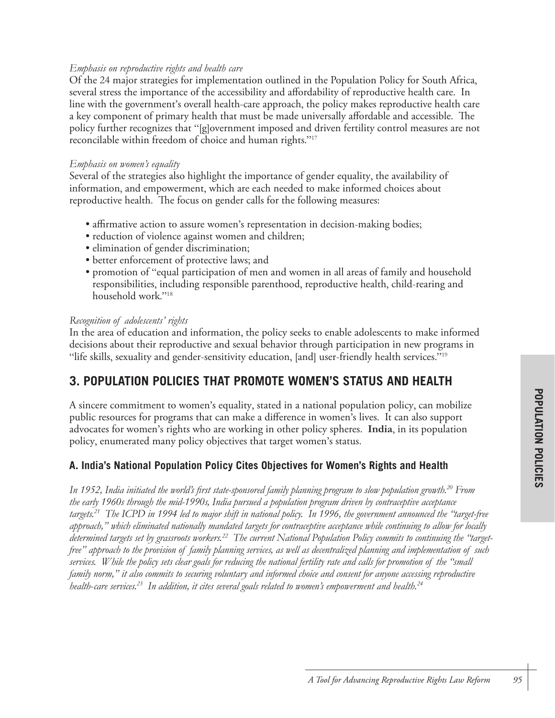#### *Emphasis on reproductive rights and health care*

Of the 24 major strategies for implementation outlined in the Population Policy for South Africa, several stress the importance of the accessibility and affordability of reproductive health care. In line with the government's overall health-care approach, the policy makes reproductive health care a key component of primary health that must be made universally affordable and accessible. The policy further recognizes that "[g]overnment imposed and driven fertility control measures are not reconcilable within freedom of choice and human rights."17

#### *Emphasis on women's equality*

Several of the strategies also highlight the importance of gender equality, the availability of information, and empowerment, which are each needed to make informed choices about reproductive health. The focus on gender calls for the following measures:

- affirmative action to assure women's representation in decision-making bodies;
- reduction of violence against women and children;
- elimination of gender discrimination;
- better enforcement of protective laws; and
- promotion of "equal participation of men and women in all areas of family and household responsibilities, including responsible parenthood, reproductive health, child-rearing and household work."18

#### *Recognition of adolescents' rights*

In the area of education and information, the policy seeks to enable adolescents to make informed decisions about their reproductive and sexual behavior through participation in new programs in "life skills, sexuality and gender-sensitivity education, [and] user-friendly health services."19

### **3. POPULATION POLICIES THAT PROMOTE WOMEN'S STATUS AND HEALTH**

A sincere commitment to women's equality, stated in a national population policy, can mobilize public resources for programs that can make a difference in women's lives. It can also support advocates for women's rights who are working in other policy spheres. **India**, in its population policy, enumerated many policy objectives that target women's status.

#### **A. India's National Population Policy Cites Objectives for Women's Rights and Health**

*In 1952, India initiated the world's first state-sponsored family planning program to slow population growth.20 From the early 1960s through the mid-1990s, India pursued a population program driven by contraceptive acceptance targets.21 The ICPD in 1994 led to major shift in national policy. In 1996, the government announced the "target-free approach," which eliminated nationally mandated targets for contraceptive acceptance while continuing to allow for locally determined targets set by grassroots workers.22 The current National Population Policy commits to continuing the "targetfree" approach to the provision of family planning services, as well as decentralized planning and implementation of such services. While the policy sets clear goals for reducing the national fertility rate and calls for promotion of the "small family norm," it also commits to securing voluntary and informed choice and consent for anyone accessing reproductive health*-*care services.23 In addition, it cites several goals related to women's empowerment and health.24*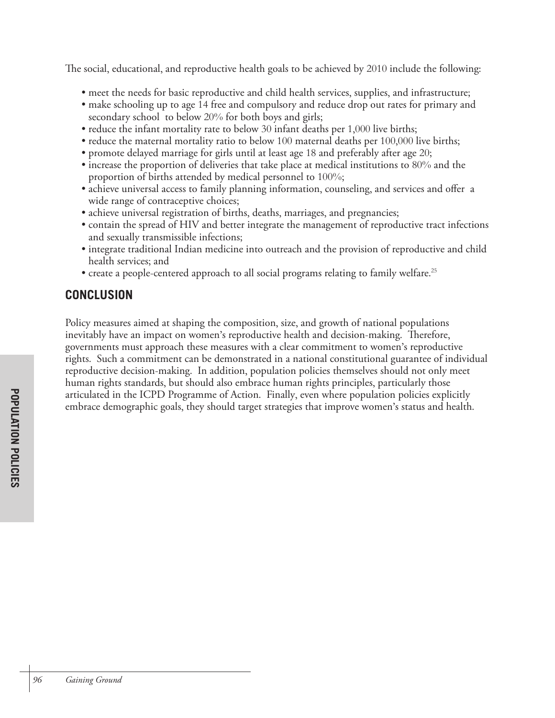The social, educational, and reproductive health goals to be achieved by 2010 include the following:

- meet the needs for basic reproductive and child health services, supplies, and infrastructure;
- make schooling up to age 14 free and compulsory and reduce drop out rates for primary and secondary school to below 20% for both boys and girls;
- reduce the infant mortality rate to below 30 infant deaths per 1,000 live births;
- reduce the maternal mortality ratio to below 100 maternal deaths per 100,000 live births;
- promote delayed marriage for girls until at least age 18 and preferably after age 20;
- increase the proportion of deliveries that take place at medical institutions to 80% and the proportion of births attended by medical personnel to 100%;
- achieve universal access to family planning information, counseling, and services and offer a wide range of contraceptive choices;
- achieve universal registration of births, deaths, marriages, and pregnancies;
- contain the spread of HIV and better integrate the management of reproductive tract infections and sexually transmissible infections;
- integrate traditional Indian medicine into outreach and the provision of reproductive and child health services; and
- create a people-centered approach to all social programs relating to family welfare. 25

# **CONCLUSION**

Policy measures aimed at shaping the composition, size, and growth of national populations inevitably have an impact on women's reproductive health and decision-making. Therefore, governments must approach these measures with a clear commitment to women's reproductive rights. Such a commitment can be demonstrated in a national constitutional guarantee of individual reproductive decision-making. In addition, population policies themselves should not only meet human rights standards, but should also embrace human rights principles, particularly those articulated in the ICPD Programme of Action. Finally, even where population policies explicitly embrace demographic goals, they should target strategies that improve women's status and health.